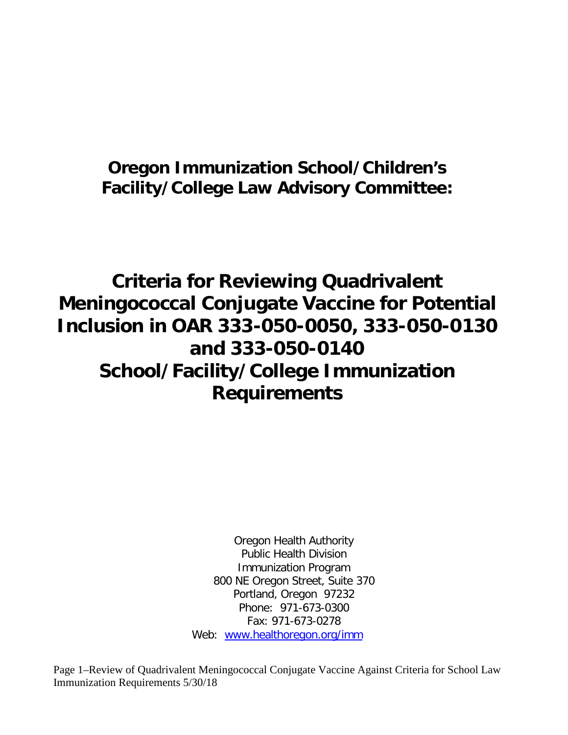## **Oregon Immunization School/Children's Facility/College Law Advisory Committee:**

# **Criteria for Reviewing Quadrivalent Meningococcal Conjugate Vaccine for Potential Inclusion in OAR 333-050-0050, 333-050-0130 and 333-050-0140 School/Facility/College Immunization Requirements**

Oregon Health Authority Public Health Division Immunization Program 800 NE Oregon Street, Suite 370 Portland, Oregon 97232 Phone: 971-673-0300 Fax: 971-673-0278 Web: [www.healthoregon.org/imm](http://www.healthoregon.org/imm)

Page 1–Review of Quadrivalent Meningococcal Conjugate Vaccine Against Criteria for School Law Immunization Requirements 5/30/18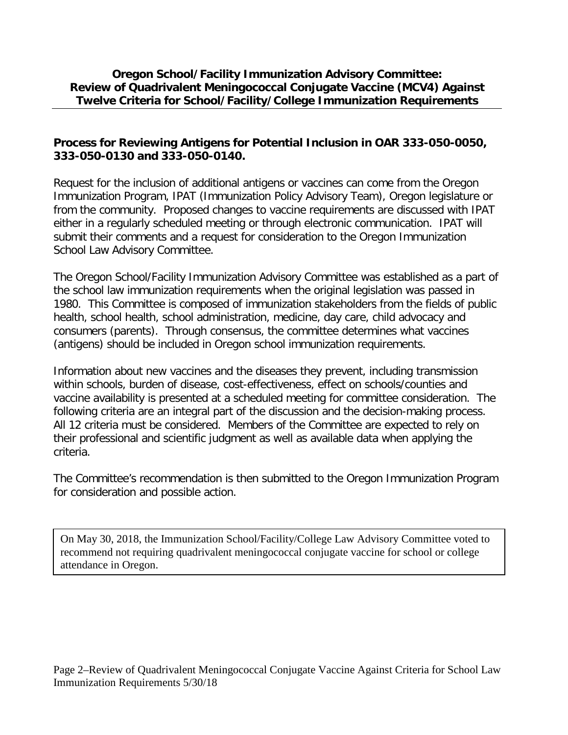#### **Oregon School/Facility Immunization Advisory Committee: Review of Quadrivalent Meningococcal Conjugate Vaccine (MCV4) Against Twelve Criteria for School/Facility/College Immunization Requirements**

#### **Process for Reviewing Antigens for Potential Inclusion in OAR 333-050-0050, 333-050-0130 and 333-050-0140.**

Request for the inclusion of additional antigens or vaccines can come from the Oregon Immunization Program, IPAT (Immunization Policy Advisory Team), Oregon legislature or from the community. Proposed changes to vaccine requirements are discussed with IPAT either in a regularly scheduled meeting or through electronic communication. IPAT will submit their comments and a request for consideration to the Oregon Immunization School Law Advisory Committee.

The Oregon School/Facility Immunization Advisory Committee was established as a part of the school law immunization requirements when the original legislation was passed in 1980. This Committee is composed of immunization stakeholders from the fields of public health, school health, school administration, medicine, day care, child advocacy and consumers (parents). Through consensus, the committee determines what vaccines (antigens) should be included in Oregon school immunization requirements.

Information about new vaccines and the diseases they prevent, including transmission within schools, burden of disease, cost-effectiveness, effect on schools/counties and vaccine availability is presented at a scheduled meeting for committee consideration. The following criteria are an integral part of the discussion and the decision-making process. All 12 criteria must be considered. Members of the Committee are expected to rely on their professional and scientific judgment as well as available data when applying the criteria.

The Committee's recommendation is then submitted to the Oregon Immunization Program for consideration and possible action.

On May 30, 2018, the Immunization School/Facility/College Law Advisory Committee voted to recommend not requiring quadrivalent meningococcal conjugate vaccine for school or college attendance in Oregon.

Page 2–Review of Quadrivalent Meningococcal Conjugate Vaccine Against Criteria for School Law Immunization Requirements 5/30/18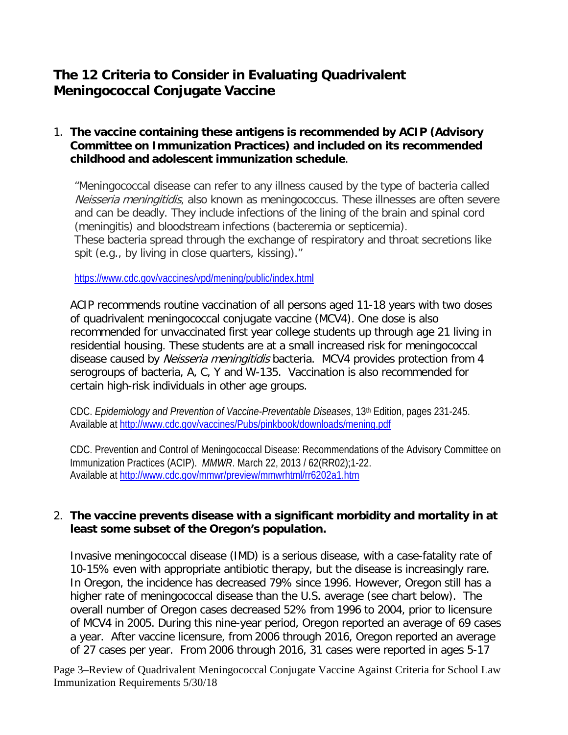### **The 12 Criteria to Consider in Evaluating Quadrivalent Meningococcal Conjugate Vaccine**

#### 1. **The vaccine containing these antigens is recommended by ACIP (Advisory Committee on Immunization Practices) and included on its recommended childhood and adolescent immunization schedule**.

"Meningococcal disease can refer to any illness caused by the type of bacteria called Neisseria meningitidis, also known as meningococcus. These illnesses are often severe and can be deadly. They include infections of the lining of the brain and spinal cord (meningitis) and bloodstream infections (bacteremia or septicemia). These bacteria spread through the exchange of respiratory and throat secretions like spit (e.g., by living in close quarters, kissing)."

<https://www.cdc.gov/vaccines/vpd/mening/public/index.html>

ACIP recommends routine vaccination of all persons aged 11-18 years with two doses of quadrivalent meningococcal conjugate vaccine (MCV4). One dose is also recommended for unvaccinated first year college students up through age 21 living in residential housing. These students are at a small increased risk for meningococcal disease caused by Neisseria meningitidis bacteria. MCV4 provides protection from 4 serogroups of bacteria, A, C, Y and W-135. Vaccination is also recommended for certain high-risk individuals in other age groups.

CDC. *Epidemiology and Prevention of Vaccine-Preventable Diseases*, 13th Edition, pages 231-245. Available at<http://www.cdc.gov/vaccines/Pubs/pinkbook/downloads/mening.pdf>

CDC. Prevention and Control of Meningococcal Disease: Recommendations of the Advisory Committee on Immunization Practices (ACIP). *MMWR*. March 22, 2013 / 62(RR02);1-22. Available at<http://www.cdc.gov/mmwr/preview/mmwrhtml/rr6202a1.htm>

#### 2. **The vaccine prevents disease with a significant morbidity and mortality in at least some subset of the Oregon's population.**

Invasive meningococcal disease (IMD) is a serious disease, with a case-fatality rate of 10-15% even with appropriate antibiotic therapy, but the disease is increasingly rare. In Oregon, the incidence has decreased 79% since 1996. However, Oregon still has a higher rate of meningococcal disease than the U.S. average (see chart below). The overall number of Oregon cases decreased 52% from 1996 to 2004, prior to licensure of MCV4 in 2005. During this nine-year period, Oregon reported an average of 69 cases a year. After vaccine licensure, from 2006 through 2016, Oregon reported an average of 27 cases per year. From 2006 through 2016, 31 cases were reported in ages 5-17

Page 3–Review of Quadrivalent Meningococcal Conjugate Vaccine Against Criteria for School Law Immunization Requirements 5/30/18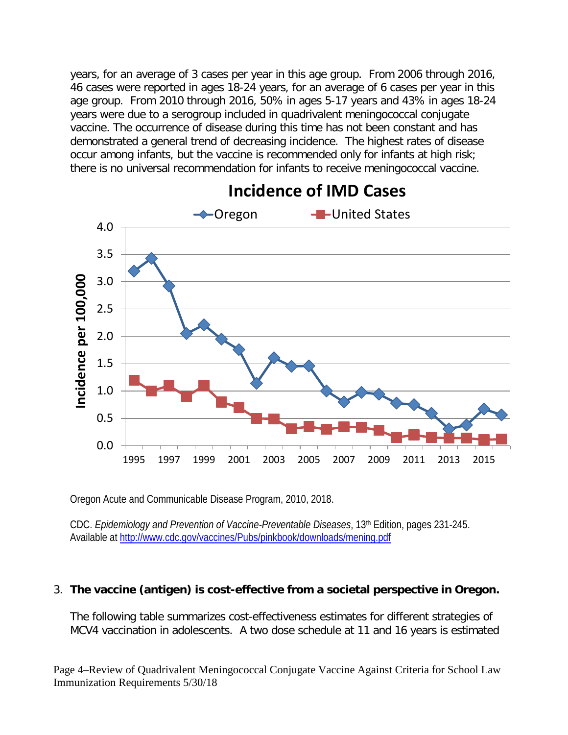years, for an average of 3 cases per year in this age group. From 2006 through 2016, 46 cases were reported in ages 18-24 years, for an average of 6 cases per year in this age group. From 2010 through 2016, 50% in ages 5-17 years and 43% in ages 18-24 years were due to a serogroup included in quadrivalent meningococcal conjugate vaccine. The occurrence of disease during this time has not been constant and has demonstrated a general trend of decreasing incidence. The highest rates of disease occur among infants, but the vaccine is recommended only for infants at high risk; there is no universal recommendation for infants to receive meningococcal vaccine.



## **Incidence of IMD Cases**

Oregon Acute and Communicable Disease Program, 2010, 2018.

CDC. *Epidemiology and Prevention of Vaccine-Preventable Diseases*, 13th Edition, pages 231-245. Available at<http://www.cdc.gov/vaccines/Pubs/pinkbook/downloads/mening.pdf>

#### 3. **The vaccine (antigen) is cost-effective from a societal perspective in Oregon.**

The following table summarizes cost-effectiveness estimates for different strategies of MCV4 vaccination in adolescents. A two dose schedule at 11 and 16 years is estimated

Page 4–Review of Quadrivalent Meningococcal Conjugate Vaccine Against Criteria for School Law Immunization Requirements 5/30/18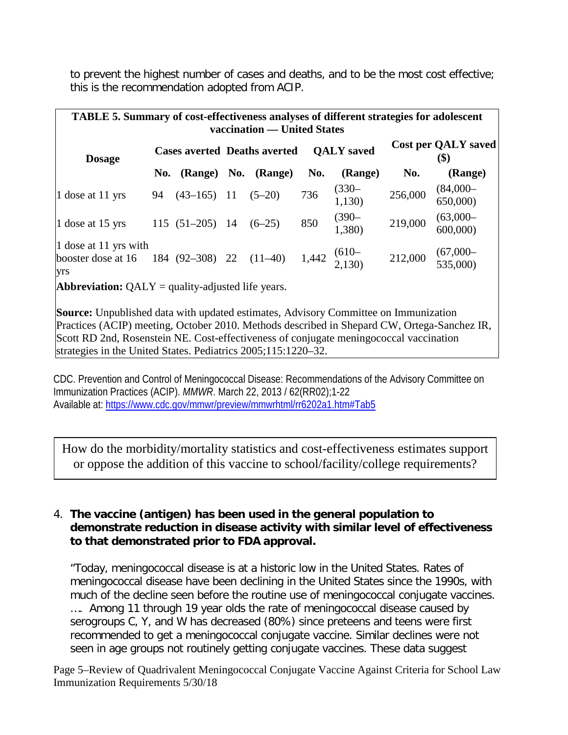to prevent the highest number of cases and deaths, and to be the most cost effective; this is the recommendation adopted from ACIP.

| <b>TABLE 5. Summary of cost-effectiveness analyses of different strategies for adolescent</b><br>vaccination — United States |     |                  |                                     |                     |                   |                           |                                           |                         |  |
|------------------------------------------------------------------------------------------------------------------------------|-----|------------------|-------------------------------------|---------------------|-------------------|---------------------------|-------------------------------------------|-------------------------|--|
| <b>Dosage</b>                                                                                                                |     |                  | <b>Cases averted Deaths averted</b> |                     | <b>OALY</b> saved |                           | <b>Cost per QALY saved</b><br><b>(\$)</b> |                         |  |
|                                                                                                                              | No. |                  |                                     | (Range) No. (Range) | No.               | (Range)                   | No.                                       | (Range)                 |  |
| 1 dose at 11 yrs                                                                                                             | 94  | $(43-165)$ 11    |                                     | $(5-20)$            | 736               | $(330 -$<br>1,130)        | 256,000                                   | $(84,000 -$<br>650,000) |  |
| 1 dose at 15 yrs                                                                                                             |     | $115(51-205)$ 14 |                                     | $(6-25)$            | 850               | $(390 -$<br>1,380)        | 219,000                                   | $(63,000 -$<br>600,000  |  |
| 1 dose at 11 yrs with<br>booster dose at 16 184 (92-308) 22<br>yrs                                                           |     |                  |                                     | $(11-40)$           |                   | 1,442 $^{(610-}_{2,130)}$ | 212,000                                   | $(67,000 - 535,000)$    |  |
| <b>Abbreviation:</b> $QALY =$ quality-adjusted life years.                                                                   |     |                  |                                     |                     |                   |                           |                                           |                         |  |
| <b>Source:</b> Unpublished data with updated estimates, Advisory Committee on Immunization                                   |     |                  |                                     |                     |                   |                           |                                           |                         |  |

Practices (ACIP) meeting, October 2010. Methods described in Shepard CW, Ortega-Sanchez IR, Scott RD 2nd, Rosenstein NE. Cost-effectiveness of conjugate meningococcal vaccination strategies in the United States. Pediatrics 2005;115:1220-32.

CDC. Prevention and Control of Meningococcal Disease: Recommendations of the Advisory Committee on Immunization Practices (ACIP). *MMWR*. March 22, 2013 / 62(RR02);1-22 Available at:<https://www.cdc.gov/mmwr/preview/mmwrhtml/rr6202a1.htm#Tab5>

How do the morbidity/mortality statistics and cost-effectiveness estimates support or oppose the addition of this vaccine to school/facility/college requirements?

#### 4. **The vaccine (antigen) has been used in the general population to demonstrate reduction in disease activity with similar level of effectiveness to that demonstrated prior to FDA approval.**

"Today, meningococcal disease is at a historic low in the United States. Rates of meningococcal disease have been declining in the United States since the 1990s, with much of the decline seen before the routine use of meningococcal conjugate vaccines. …. Among 11 through 19 year olds the rate of meningococcal disease caused by serogroups C, Y, and W has decreased (80%) since preteens and teens were first recommended to get a meningococcal conjugate vaccine. Similar declines were not seen in age groups not routinely getting conjugate vaccines. These data suggest

Page 5–Review of Quadrivalent Meningococcal Conjugate Vaccine Against Criteria for School Law Immunization Requirements 5/30/18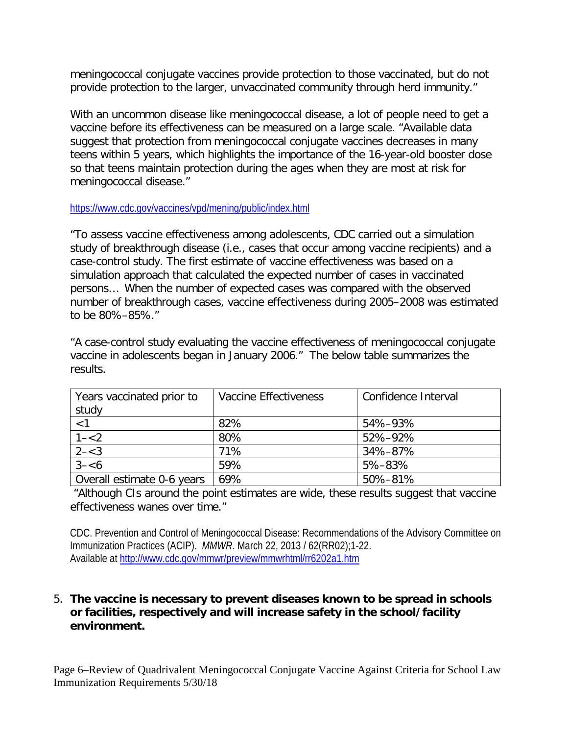meningococcal conjugate vaccines provide protection to those vaccinated, but do not provide protection to the larger, unvaccinated community through herd immunity."

With an uncommon disease like meningococcal disease, a lot of people need to get a vaccine before its effectiveness can be measured on a large scale. "Available data suggest that protection from meningococcal conjugate vaccines decreases in many teens within 5 years, which highlights the importance of the 16-year-old booster dose so that teens maintain protection during the ages when they are most at risk for meningococcal disease."

<https://www.cdc.gov/vaccines/vpd/mening/public/index.html>

"To assess vaccine effectiveness among adolescents, CDC carried out a simulation study of breakthrough disease (i.e., cases that occur among vaccine recipients) and a case-control study. The first estimate of vaccine effectiveness was based on a simulation approach that calculated the expected number of cases in vaccinated persons… When the number of expected cases was compared with the observed number of breakthrough cases, vaccine effectiveness during 2005–2008 was estimated to be 80%–85%."

"A case-control study evaluating the vaccine effectiveness of meningococcal conjugate vaccine in adolescents began in January 2006." The below table summarizes the results.

| Years vaccinated prior to<br>study | Vaccine Effectiveness | Confidence Interval |
|------------------------------------|-----------------------|---------------------|
| < 1                                | 82%                   | 54%-93%             |
| $1 - 2$                            | 80%                   | 52%-92%             |
| $2 - < 3$                          | 71%                   | 34%-87%             |
| $3 - 6$                            | 59%                   | 5%-83%              |
| Overall estimate 0-6 years         | 69%                   | 50%-81%             |

"Although CIs around the point estimates are wide, these results suggest that vaccine effectiveness wanes over time."

CDC. Prevention and Control of Meningococcal Disease: Recommendations of the Advisory Committee on Immunization Practices (ACIP). *MMWR*. March 22, 2013 / 62(RR02);1-22. Available at<http://www.cdc.gov/mmwr/preview/mmwrhtml/rr6202a1.htm>

#### 5. **The vaccine is necessary to prevent diseases known to be spread in schools or facilities, respectively and will increase safety in the school/facility environment.**

Page 6–Review of Quadrivalent Meningococcal Conjugate Vaccine Against Criteria for School Law Immunization Requirements 5/30/18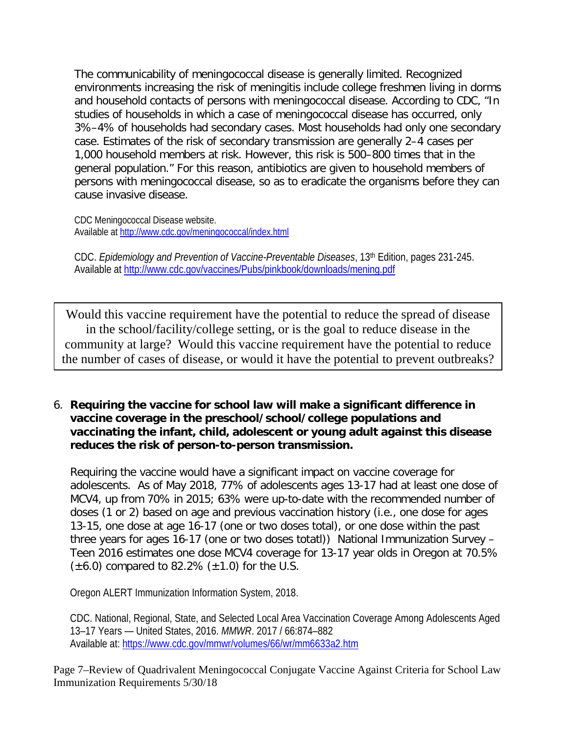The communicability of meningococcal disease is generally limited. Recognized environments increasing the risk of meningitis include college freshmen living in dorms and household contacts of persons with meningococcal disease. According to CDC, "In studies of households in which a case of meningococcal disease has occurred, only 3%–4% of households had secondary cases. Most households had only one secondary case. Estimates of the risk of secondary transmission are generally 2–4 cases per 1,000 household members at risk. However, this risk is 500–800 times that in the general population." For this reason, antibiotics are given to household members of persons with meningococcal disease, so as to eradicate the organisms before they can cause invasive disease.

CDC Meningococcal Disease website. Available at<http://www.cdc.gov/meningococcal/index.html>

CDC. *Epidemiology and Prevention of Vaccine-Preventable Diseases*, 13th Edition, pages 231-245. Available a[t http://www.cdc.gov/vaccines/Pubs/pinkbook/downloads/mening.pdf](http://www.cdc.gov/vaccines/Pubs/pinkbook/downloads/mening.pdf)

Would this vaccine requirement have the potential to reduce the spread of disease in the school/facility/college setting, or is the goal to reduce disease in the community at large? Would this vaccine requirement have the potential to reduce the number of cases of disease, or would it have the potential to prevent outbreaks?

6. **Requiring the vaccine for school law will make a significant difference in vaccine coverage in the preschool/school/college populations and vaccinating the infant, child, adolescent or young adult against this disease reduces the risk of person-to-person transmission.** 

Requiring the vaccine would have a significant impact on vaccine coverage for adolescents. As of May 2018, 77% of adolescents ages 13-17 had at least one dose of MCV4, up from 70% in 2015; 63% were up-to-date with the recommended number of doses (1 or 2) based on age and previous vaccination history (i.e., one dose for ages 13-15, one dose at age 16-17 (one or two doses total), or one dose within the past three years for ages 16-17 (one or two doses totatl)) National Immunization Survey – Teen 2016 estimates one dose MCV4 coverage for 13-17 year olds in Oregon at 70.5%  $(\pm 6.0)$  compared to 82.2%  $(\pm 1.0)$  for the U.S.

Oregon ALERT Immunization Information System, 2018.

Page 7–Review of Quadrivalent Meningococcal Conjugate Vaccine Against Criteria for School Law Immunization Requirements 5/30/18

CDC. National, Regional, State, and Selected Local Area Vaccination Coverage Among Adolescents Aged 13–17 Years — United States, 2016. *MMWR*. 2017 / 66:874–882 Available at:<https://www.cdc.gov/mmwr/volumes/66/wr/mm6633a2.htm>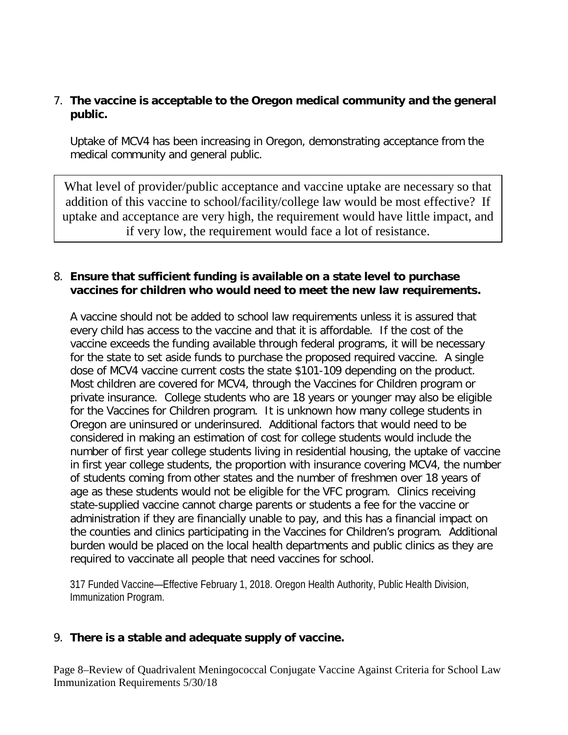#### 7. **The vaccine is acceptable to the Oregon medical community and the general public.**

Uptake of MCV4 has been increasing in Oregon, demonstrating acceptance from the medical community and general public.

What level of provider/public acceptance and vaccine uptake are necessary so that addition of this vaccine to school/facility/college law would be most effective? If uptake and acceptance are very high, the requirement would have little impact, and if very low, the requirement would face a lot of resistance.

#### 8. **Ensure that sufficient funding is available on a state level to purchase vaccines for children who would need to meet the new law requirements.**

A vaccine should not be added to school law requirements unless it is assured that every child has access to the vaccine and that it is affordable. If the cost of the vaccine exceeds the funding available through federal programs, it will be necessary for the state to set aside funds to purchase the proposed required vaccine. A single dose of MCV4 vaccine current costs the state \$101-109 depending on the product. Most children are covered for MCV4, through the Vaccines for Children program or private insurance. College students who are 18 years or younger may also be eligible for the Vaccines for Children program. It is unknown how many college students in Oregon are uninsured or underinsured. Additional factors that would need to be considered in making an estimation of cost for college students would include the number of first year college students living in residential housing, the uptake of vaccine in first year college students, the proportion with insurance covering MCV4, the number of students coming from other states and the number of freshmen over 18 years of age as these students would not be eligible for the VFC program. Clinics receiving state-supplied vaccine cannot charge parents or students a fee for the vaccine or administration if they are financially unable to pay, and this has a financial impact on the counties and clinics participating in the Vaccines for Children's program. Additional burden would be placed on the local health departments and public clinics as they are required to vaccinate all people that need vaccines for school.

317 Funded Vaccine—Effective February 1, 2018. Oregon Health Authority, Public Health Division, Immunization Program.

#### 9. **There is a stable and adequate supply of vaccine.**

Page 8–Review of Quadrivalent Meningococcal Conjugate Vaccine Against Criteria for School Law Immunization Requirements 5/30/18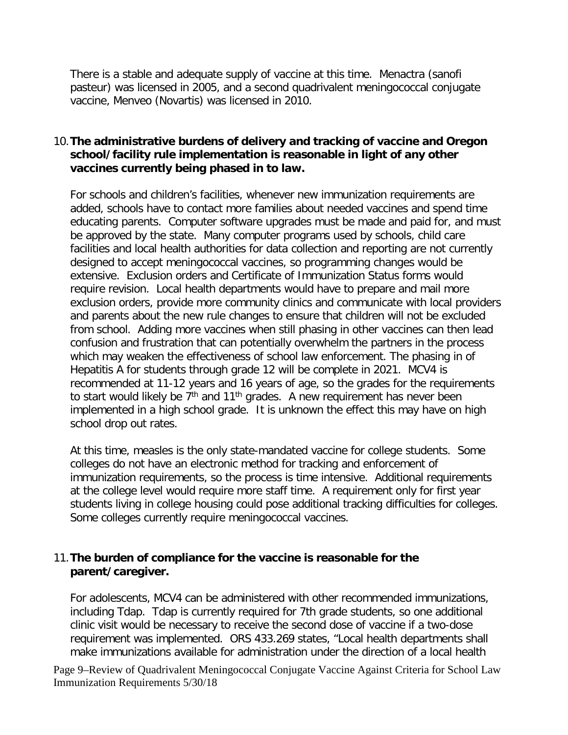There is a stable and adequate supply of vaccine at this time. Menactra (sanofi pasteur) was licensed in 2005, and a second quadrivalent meningococcal conjugate vaccine, Menveo (Novartis) was licensed in 2010.

#### 10.**The administrative burdens of delivery and tracking of vaccine and Oregon school/facility rule implementation is reasonable in light of any other vaccines currently being phased in to law.**

For schools and children's facilities, whenever new immunization requirements are added, schools have to contact more families about needed vaccines and spend time educating parents. Computer software upgrades must be made and paid for, and must be approved by the state. Many computer programs used by schools, child care facilities and local health authorities for data collection and reporting are not currently designed to accept meningococcal vaccines, so programming changes would be extensive. Exclusion orders and Certificate of Immunization Status forms would require revision. Local health departments would have to prepare and mail more exclusion orders, provide more community clinics and communicate with local providers and parents about the new rule changes to ensure that children will not be excluded from school. Adding more vaccines when still phasing in other vaccines can then lead confusion and frustration that can potentially overwhelm the partners in the process which may weaken the effectiveness of school law enforcement. The phasing in of Hepatitis A for students through grade 12 will be complete in 2021. MCV4 is recommended at 11-12 years and 16 years of age, so the grades for the requirements to start would likely be  $7<sup>th</sup>$  and 11<sup>th</sup> grades. A new requirement has never been implemented in a high school grade. It is unknown the effect this may have on high school drop out rates.

At this time, measles is the only state-mandated vaccine for college students. Some colleges do not have an electronic method for tracking and enforcement of immunization requirements, so the process is time intensive. Additional requirements at the college level would require more staff time. A requirement only for first year students living in college housing could pose additional tracking difficulties for colleges. Some colleges currently require meningococcal vaccines.

#### 11.**The burden of compliance for the vaccine is reasonable for the parent/caregiver.**

For adolescents, MCV4 can be administered with other recommended immunizations, including Tdap. Tdap is currently required for 7th grade students, so one additional clinic visit would be necessary to receive the second dose of vaccine if a two-dose requirement was implemented. ORS 433.269 states, "Local health departments shall make immunizations available for administration under the direction of a local health

Page 9–Review of Quadrivalent Meningococcal Conjugate Vaccine Against Criteria for School Law Immunization Requirements 5/30/18